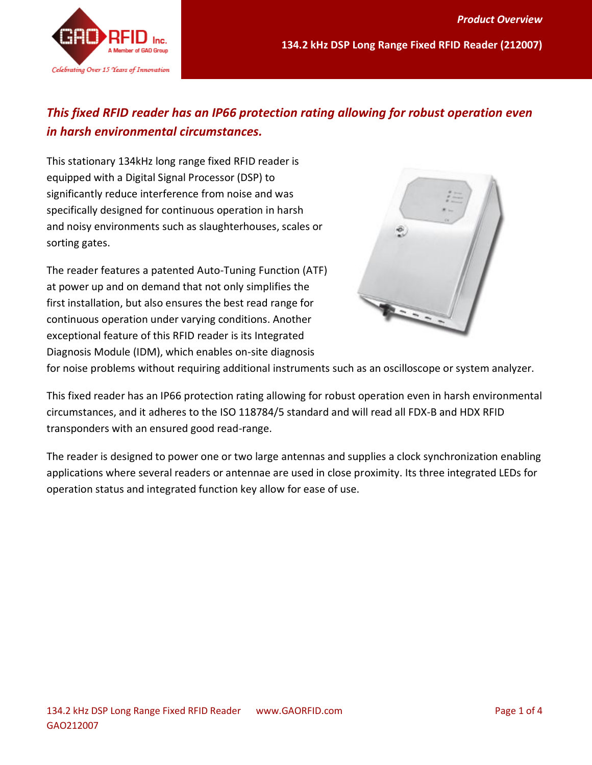

# *This fixed RFID reader has an IP66 protection rating allowing for robust operation even in harsh environmental circumstances.*

This stationary 134kHz long range fixed RFID reader is equipped with a Digital Signal Processor (DSP) to significantly reduce interference from noise and was specifically designed for continuous operation in harsh and noisy environments such as slaughterhouses, scales or sorting gates.

The reader features a patented Auto-Tuning Function (ATF) at power up and on demand that not only simplifies the first installation, but also ensures the best read range for continuous operation under varying conditions. Another exceptional feature of this RFID reader is its Integrated Diagnosis Module (IDM), which enables on-site diagnosis



for noise problems without requiring additional instruments such as an oscilloscope or system analyzer.

This fixed reader has an IP66 protection rating allowing for robust operation even in harsh environmental circumstances, and it adheres to the ISO 118784/5 standard and will read all FDX-B and HDX RFID transponders with an ensured good read-range.

The reader is designed to power one or two large antennas and supplies a clock synchronization enabling applications where several readers or antennae are used in close proximity. Its three integrated LEDs for operation status and integrated function key allow for ease of use.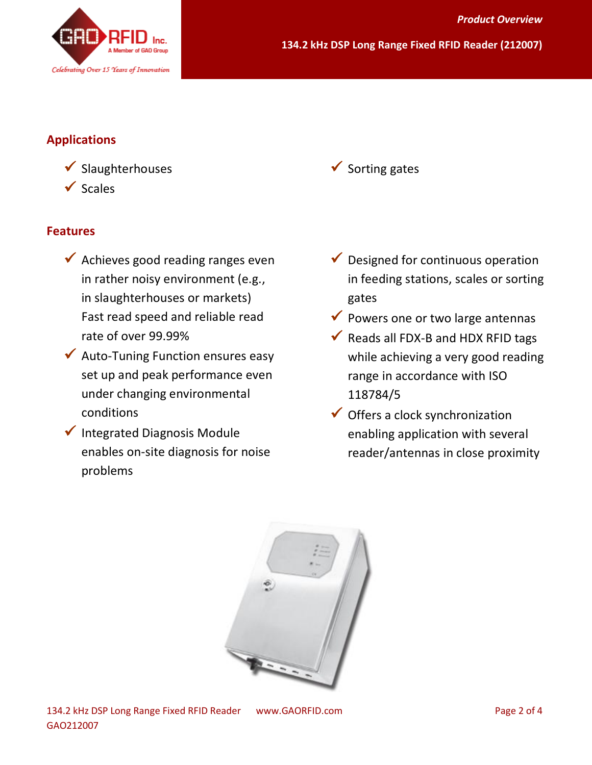

#### **Applications**

 $\checkmark$  Slaughterhouses  $\checkmark$  Scales

#### **Features**

- $\checkmark$  Achieves good reading ranges even in rather noisy environment (e.g., in slaughterhouses or markets) Fast read speed and reliable read rate of over 99.99%
- $\checkmark$  Auto-Tuning Function ensures easy set up and peak performance even under changing environmental conditions
- $\checkmark$  Integrated Diagnosis Module enables on-site diagnosis for noise problems

 $\checkmark$  Sorting gates

- $\checkmark$  Designed for continuous operation in feeding stations, scales or sorting gates
- $\checkmark$  Powers one or two large antennas
- $\checkmark$  Reads all FDX-B and HDX RFID tags while achieving a very good reading range in accordance with ISO 118784/5
- $\checkmark$  Offers a clock synchronization enabling application with several reader/antennas in close proximity

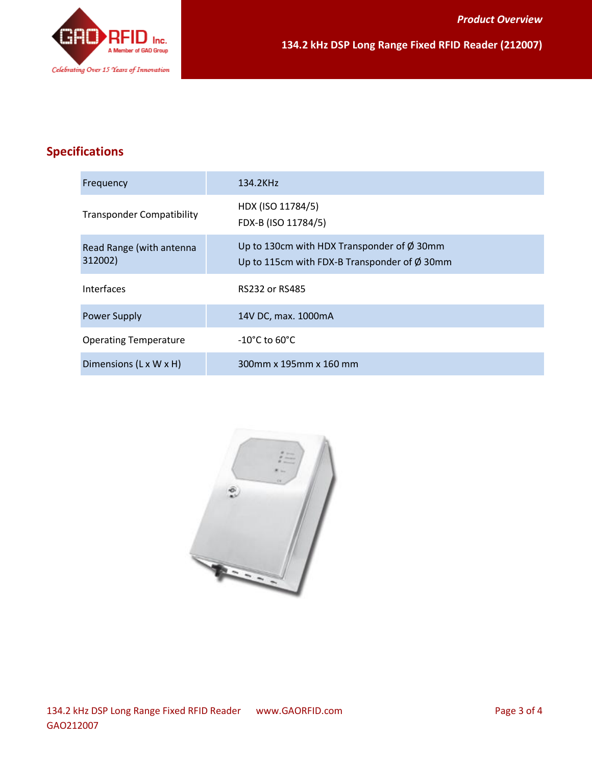

## **Specifications**

| Frequency                           | 134.2KHz                                                                                                  |
|-------------------------------------|-----------------------------------------------------------------------------------------------------------|
| <b>Transponder Compatibility</b>    | HDX (ISO 11784/5)<br>FDX-B (ISO 11784/5)                                                                  |
| Read Range (with antenna<br>312002) | Up to 130cm with HDX Transponder of $\phi$ 30mm<br>Up to 115cm with FDX-B Transponder of $\emptyset$ 30mm |
| <b>Interfaces</b>                   | RS232 or RS485                                                                                            |
| <b>Power Supply</b>                 | 14V DC, max. 1000mA                                                                                       |
| <b>Operating Temperature</b>        | $-10^{\circ}$ C to 60 $^{\circ}$ C                                                                        |
| Dimensions (L x W x H)              | 300mm x 195mm x 160 mm                                                                                    |